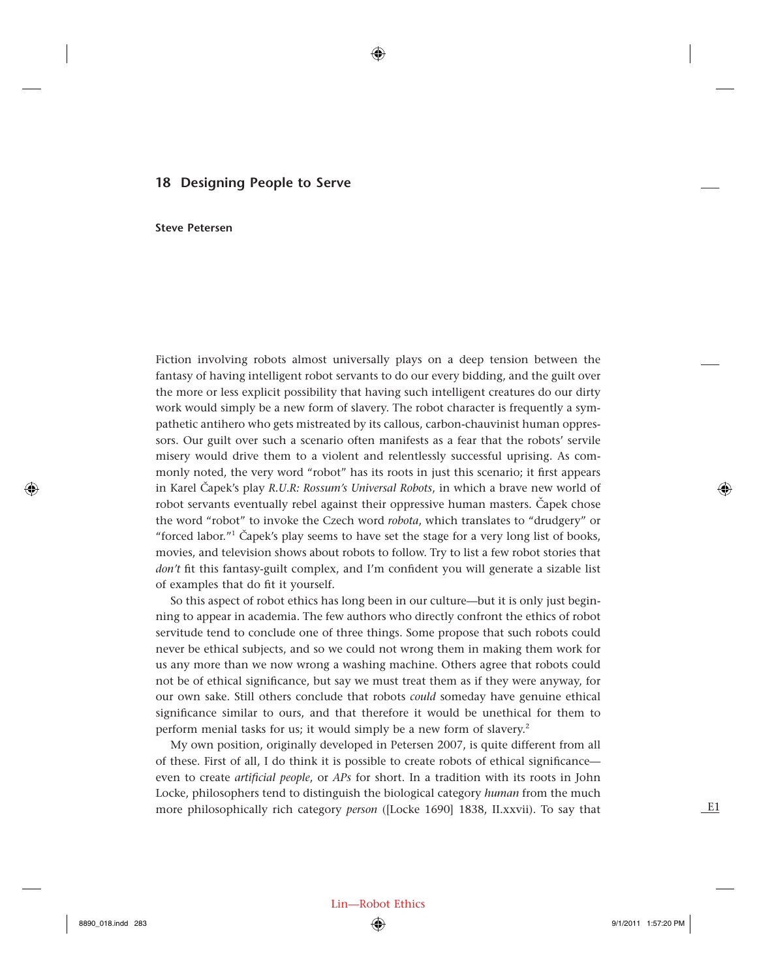#### **Steve Petersen**

Fiction involving robots almost universally plays on a deep tension between the fantasy of having intelligent robot servants to do our every bidding, and the guilt over the more or less explicit possibility that having such intelligent creatures do our dirty work would simply be a new form of slavery. The robot character is frequently a sympathetic antihero who gets mistreated by its callous, carbon-chauvinist human oppressors. Our guilt over such a scenario often manifests as a fear that the robots' servile misery would drive them to a violent and relentlessly successful uprising. As commonly noted, the very word "robot" has its roots in just this scenario; it first appears in Karel Čapek's play *R.U.R: Rossum's Universal Robots*, in which a brave new world of robot servants eventually rebel against their oppressive human masters. Capek chose the word "robot" to invoke the Czech word *robota*, which translates to "drudgery" or "forced labor."<sup>1</sup> C<sup>apek's</sup> play seems to have set the stage for a very long list of books, movies, and television shows about robots to follow. Try to list a few robot stories that *don't* fit this fantasy-guilt complex, and I'm confident you will generate a sizable list of examples that do fit it yourself.

⊕

So this aspect of robot ethics has long been in our culture—but it is only just beginning to appear in academia. The few authors who directly confront the ethics of robot servitude tend to conclude one of three things. Some propose that such robots could never be ethical subjects, and so we could not wrong them in making them work for us any more than we now wrong a washing machine. Others agree that robots could not be of ethical significance, but say we must treat them as if they were anyway, for our own sake. Still others conclude that robots *could* someday have genuine ethical significance similar to ours, and that therefore it would be unethical for them to perform menial tasks for us; it would simply be a new form of slavery.2

My own position, originally developed in Petersen 2007, is quite different from all of these. First of all, I do think it is possible to create robots of ethical significance even to create *artificial people*, or *APs* for short. In a tradition with its roots in John Locke, philosophers tend to distinguish the biological category *human* from the much more philosophically rich category *person* ([Locke 1690] 1838, II.xxvii). To say that

⊕

E1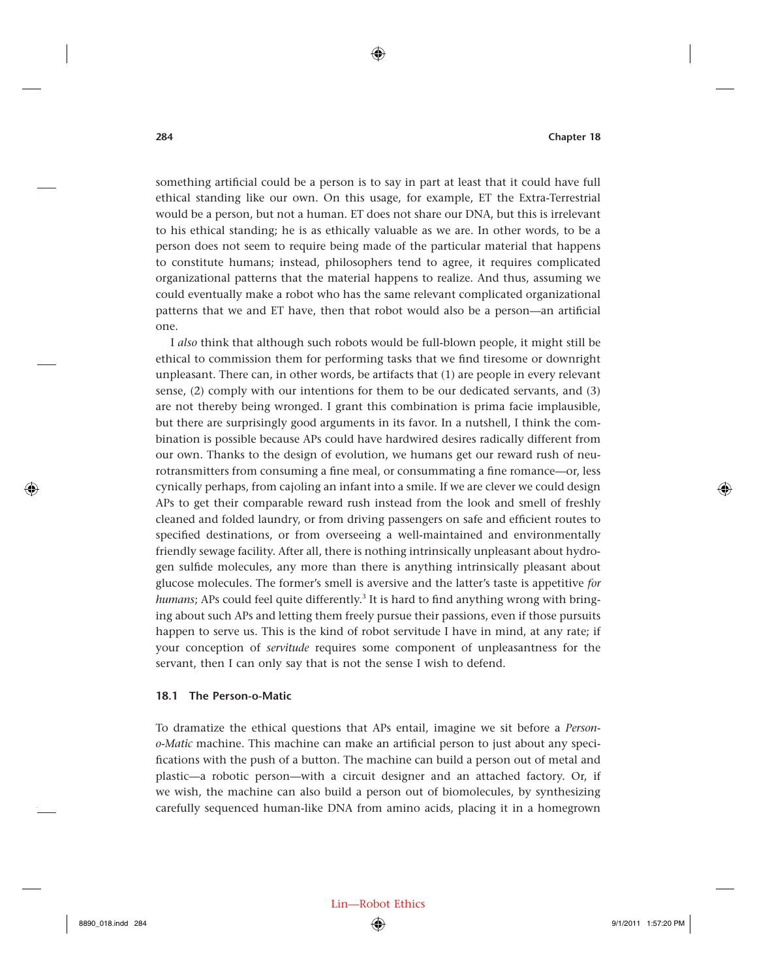something artificial could be a person is to say in part at least that it could have full ethical standing like our own. On this usage, for example, ET the Extra-Terrestrial would be a person, but not a human. ET does not share our DNA, but this is irrelevant to his ethical standing; he is as ethically valuable as we are. In other words, to be a person does not seem to require being made of the particular material that happens to constitute humans; instead, philosophers tend to agree, it requires complicated organizational patterns that the material happens to realize. And thus, assuming we could eventually make a robot who has the same relevant complicated organizational patterns that we and ET have, then that robot would also be a person—an artificial one.

⊕

I *also* think that although such robots would be full-blown people, it might still be ethical to commission them for performing tasks that we find tiresome or downright unpleasant. There can, in other words, be artifacts that (1) are people in every relevant sense, (2) comply with our intentions for them to be our dedicated servants, and (3) are not thereby being wronged. I grant this combination is prima facie implausible, but there are surprisingly good arguments in its favor. In a nutshell, I think the combination is possible because APs could have hardwired desires radically different from our own. Thanks to the design of evolution, we humans get our reward rush of neurotransmitters from consuming a fine meal, or consummating a fine romance—or, less cynically perhaps, from cajoling an infant into a smile. If we are clever we could design APs to get their comparable reward rush instead from the look and smell of freshly cleaned and folded laundry, or from driving passengers on safe and efficient routes to specified destinations, or from overseeing a well-maintained and environmentally friendly sewage facility. After all, there is nothing intrinsically unpleasant about hydrogen sulfide molecules, any more than there is anything intrinsically pleasant about glucose molecules. The former's smell is aversive and the latter's taste is appetitive *for*  humans; APs could feel quite differently.<sup>3</sup> It is hard to find anything wrong with bringing about such APs and letting them freely pursue their passions, even if those pursuits happen to serve us. This is the kind of robot servitude I have in mind, at any rate; if your conception of *servitude* requires some component of unpleasantness for the servant, then I can only say that is not the sense I wish to defend.

### **18.1 The Person-o-Matic**

To dramatize the ethical questions that APs entail, imagine we sit before a *Persono-Matic* machine. This machine can make an artificial person to just about any specifications with the push of a button. The machine can build a person out of metal and plastic—a robotic person—with a circuit designer and an attached factory. Or, if we wish, the machine can also build a person out of biomolecules, by synthesizing carefully sequenced human-like DNA from amino acids, placing it in a homegrown

⊕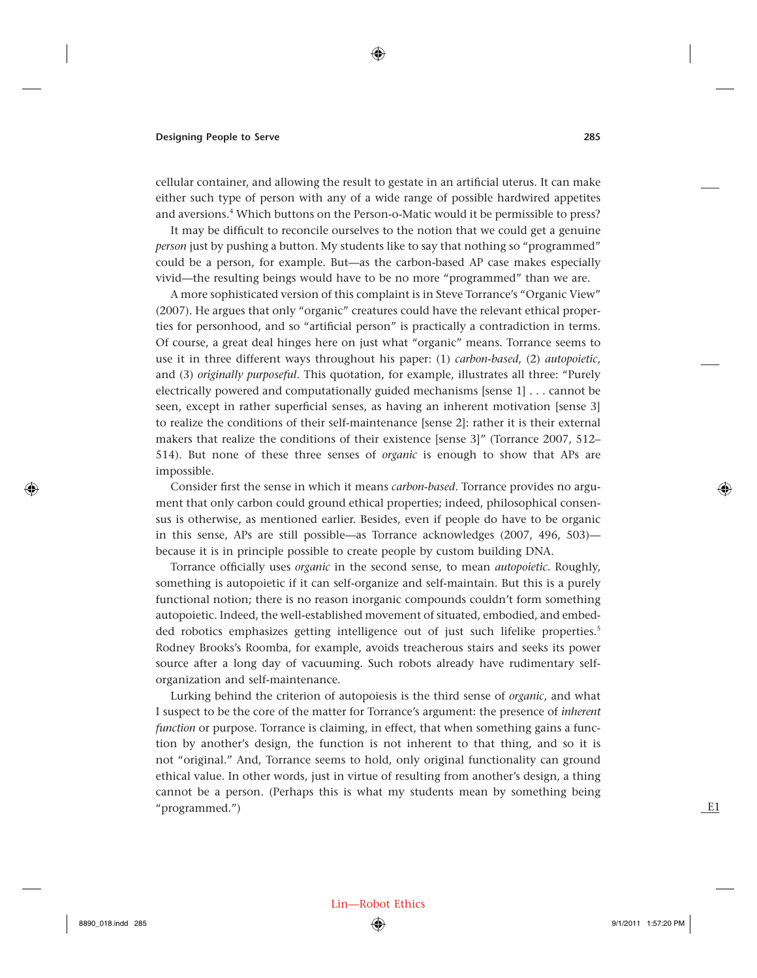cellular container, and allowing the result to gestate in an artificial uterus. It can make either such type of person with any of a wide range of possible hardwired appetites and aversions.<sup>4</sup> Which buttons on the Person-o-Matic would it be permissible to press?

⊕

It may be difficult to reconcile ourselves to the notion that we could get a genuine *person* just by pushing a button. My students like to say that nothing so "programmed" could be a person, for example. But—as the carbon-based AP case makes especially vivid—the resulting beings would have to be no more "programmed" than we are.

A more sophisticated version of this complaint is in Steve Torrance's "Organic View" (2007). He argues that only "organic" creatures could have the relevant ethical properties for personhood, and so "artificial person" is practically a contradiction in terms. Of course, a great deal hinges here on just what "organic" means. Torrance seems to use it in three different ways throughout his paper: (1) *carbon-based*, (2) *autopoietic*, and (3) *originally purposeful*. This quotation, for example, illustrates all three: "Purely electrically powered and computationally guided mechanisms [sense 1] . . . cannot be seen, except in rather superficial senses, as having an inherent motivation [sense 3] to realize the conditions of their self-maintenance [sense 2]: rather it is their external makers that realize the conditions of their existence [sense 3]" (Torrance 2007, 512– 514). But none of these three senses of *organic* is enough to show that APs are impossible.

Consider first the sense in which it means *carbon-based*. Torrance provides no argument that only carbon could ground ethical properties; indeed, philosophical consensus is otherwise, as mentioned earlier. Besides, even if people do have to be organic in this sense, APs are still possible—as Torrance acknowledges (2007, 496, 503) because it is in principle possible to create people by custom building DNA.

Torrance officially uses *organic* in the second sense, to mean *autopoietic*. Roughly, something is autopoietic if it can self-organize and self-maintain. But this is a purely functional notion; there is no reason inorganic compounds couldn't form something autopoietic. Indeed, the well-established movement of situated, embodied, and embedded robotics emphasizes getting intelligence out of just such lifelike properties.<sup>5</sup> Rodney Brooks's Roomba, for example, avoids treacherous stairs and seeks its power source after a long day of vacuuming. Such robots already have rudimentary selforganization and self-maintenance.

Lurking behind the criterion of autopoiesis is the third sense of *organic*, and what I suspect to be the core of the matter for Torrance's argument: the presence of *inherent function* or purpose. Torrance is claiming, in effect, that when something gains a function by another's design, the function is not inherent to that thing, and so it is not "original." And, Torrance seems to hold, only original functionality can ground ethical value. In other words, just in virtue of resulting from another's design, a thing cannot be a person. (Perhaps this is what my students mean by something being "programmed.")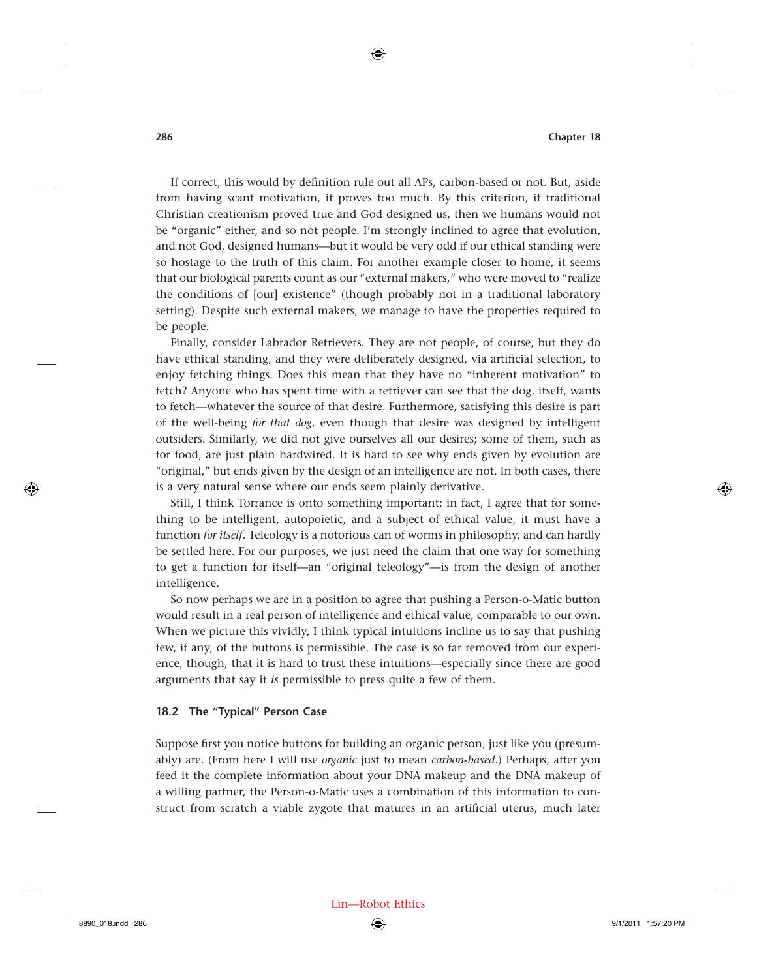If correct, this would by definition rule out all APs, carbon-based or not. But, aside from having scant motivation, it proves too much. By this criterion, if traditional Christian creationism proved true and God designed us, then we humans would not be "organic" either, and so not people. I'm strongly inclined to agree that evolution, and not God, designed humans—but it would be very odd if our ethical standing were so hostage to the truth of this claim. For another example closer to home, it seems that our biological parents count as our "external makers," who were moved to "realize the conditions of [our] existence" (though probably not in a traditional laboratory setting). Despite such external makers, we manage to have the properties required to be people.

⊕

Finally, consider Labrador Retrievers. They are not people, of course, but they do have ethical standing, and they were deliberately designed, via artificial selection, to enjoy fetching things. Does this mean that they have no "inherent motivation" to fetch? Anyone who has spent time with a retriever can see that the dog, itself, wants to fetch—whatever the source of that desire. Furthermore, satisfying this desire is part of the well-being *for that dog*, even though that desire was designed by intelligent outsiders. Similarly, we did not give ourselves all our desires; some of them, such as for food, are just plain hardwired. It is hard to see why ends given by evolution are "original," but ends given by the design of an intelligence are not. In both cases, there is a very natural sense where our ends seem plainly derivative.

Still, I think Torrance is onto something important; in fact, I agree that for something to be intelligent, autopoietic, and a subject of ethical value, it must have a function *for itself*. Teleology is a notorious can of worms in philosophy, and can hardly be settled here. For our purposes, we just need the claim that one way for something to get a function for itself—an "original teleology"—is from the design of another intelligence.

So now perhaps we are in a position to agree that pushing a Person-o-Matic button would result in a real person of intelligence and ethical value, comparable to our own. When we picture this vividly, I think typical intuitions incline us to say that pushing few, if any, of the buttons is permissible. The case is so far removed from our experience, though, that it is hard to trust these intuitions—especially since there are good arguments that say it *is* permissible to press quite a few of them.

### **18.2 The "Typical" Person Case**

Suppose first you notice buttons for building an organic person, just like you (presumably) are. (From here I will use *organic* just to mean *carbon-based*.) Perhaps, after you feed it the complete information about your DNA makeup and the DNA makeup of a willing partner, the Person-o-Matic uses a combination of this information to construct from scratch a viable zygote that matures in an artificial uterus, much later

⊕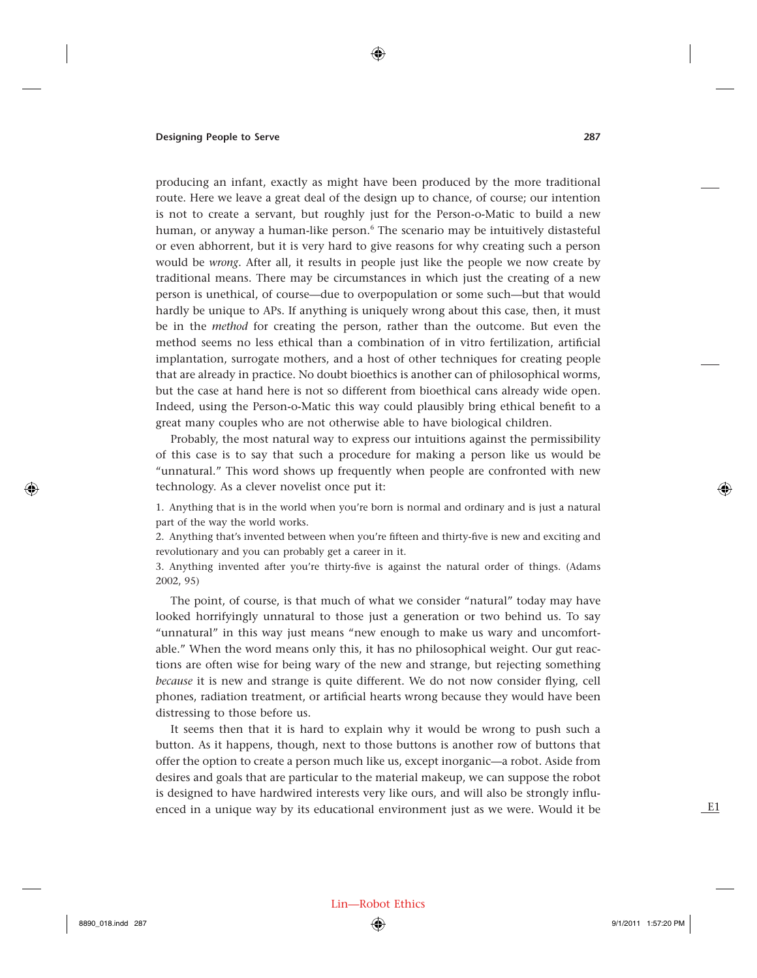producing an infant, exactly as might have been produced by the more traditional route. Here we leave a great deal of the design up to chance, of course; our intention is not to create a servant, but roughly just for the Person-o-Matic to build a new human, or anyway a human-like person.<sup>6</sup> The scenario may be intuitively distasteful or even abhorrent, but it is very hard to give reasons for why creating such a person would be *wrong*. After all, it results in people just like the people we now create by traditional means. There may be circumstances in which just the creating of a new person is unethical, of course—due to overpopulation or some such—but that would hardly be unique to APs. If anything is uniquely wrong about this case, then, it must be in the *method* for creating the person, rather than the outcome. But even the method seems no less ethical than a combination of in vitro fertilization, artificial implantation, surrogate mothers, and a host of other techniques for creating people that are already in practice. No doubt bioethics is another can of philosophical worms, but the case at hand here is not so different from bioethical cans already wide open. Indeed, using the Person-o-Matic this way could plausibly bring ethical benefit to a great many couples who are not otherwise able to have biological children.

⊕

Probably, the most natural way to express our intuitions against the permissibility of this case is to say that such a procedure for making a person like us would be "unnatural." This word shows up frequently when people are confronted with new technology. As a clever novelist once put it:

1. Anything that is in the world when you're born is normal and ordinary and is just a natural part of the way the world works.

2. Anything that's invented between when you're fifteen and thirty-five is new and exciting and revolutionary and you can probably get a career in it.

3. Anything invented after you're thirty-five is against the natural order of things. (Adams 2002, 95)

The point, of course, is that much of what we consider "natural" today may have looked horrifyingly unnatural to those just a generation or two behind us. To say "unnatural" in this way just means "new enough to make us wary and uncomfortable." When the word means only this, it has no philosophical weight. Our gut reactions are often wise for being wary of the new and strange, but rejecting something *because* it is new and strange is quite different. We do not now consider flying, cell phones, radiation treatment, or artificial hearts wrong because they would have been distressing to those before us.

It seems then that it is hard to explain why it would be wrong to push such a button. As it happens, though, next to those buttons is another row of buttons that offer the option to create a person much like us, except inorganic—a robot. Aside from desires and goals that are particular to the material makeup, we can suppose the robot is designed to have hardwired interests very like ours, and will also be strongly influenced in a unique way by its educational environment just as we were. Would it be

↔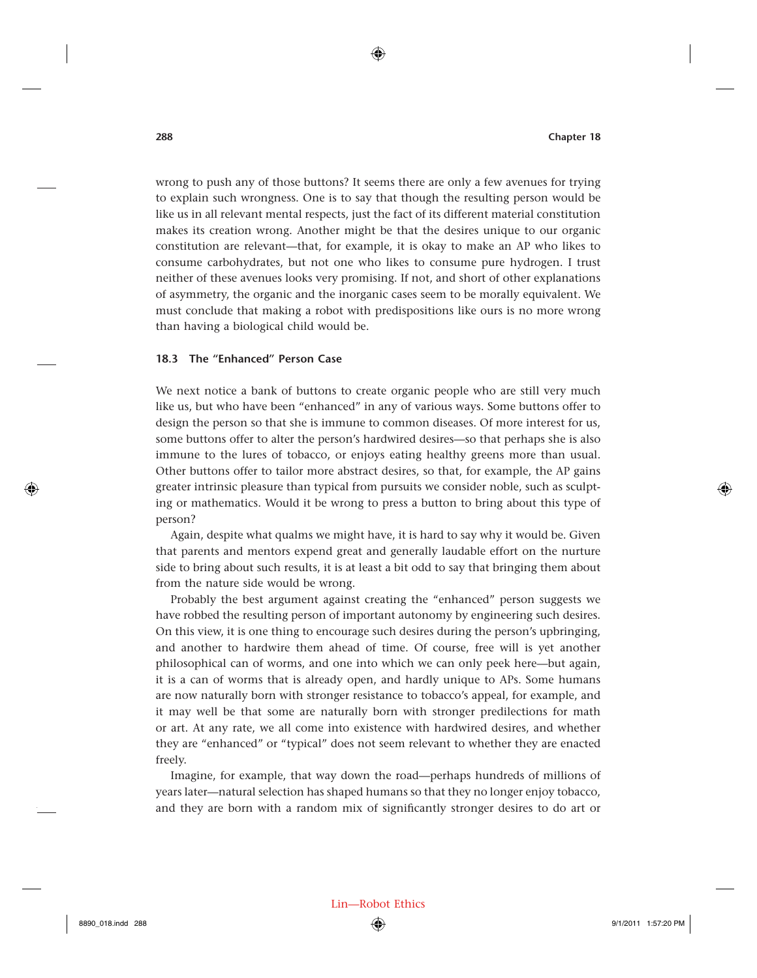wrong to push any of those buttons? It seems there are only a few avenues for trying to explain such wrongness. One is to say that though the resulting person would be like us in all relevant mental respects, just the fact of its different material constitution makes its creation wrong. Another might be that the desires unique to our organic constitution are relevant—that, for example, it is okay to make an AP who likes to consume carbohydrates, but not one who likes to consume pure hydrogen. I trust neither of these avenues looks very promising. If not, and short of other explanations of asymmetry, the organic and the inorganic cases seem to be morally equivalent. We must conclude that making a robot with predispositions like ours is no more wrong than having a biological child would be.

⊕

## **18.3 The "Enhanced" Person Case**

We next notice a bank of buttons to create organic people who are still very much like us, but who have been "enhanced" in any of various ways. Some buttons offer to design the person so that she is immune to common diseases. Of more interest for us, some buttons offer to alter the person's hardwired desires—so that perhaps she is also immune to the lures of tobacco, or enjoys eating healthy greens more than usual. Other buttons offer to tailor more abstract desires, so that, for example, the AP gains greater intrinsic pleasure than typical from pursuits we consider noble, such as sculpting or mathematics. Would it be wrong to press a button to bring about this type of person?

Again, despite what qualms we might have, it is hard to say why it would be. Given that parents and mentors expend great and generally laudable effort on the nurture side to bring about such results, it is at least a bit odd to say that bringing them about from the nature side would be wrong.

Probably the best argument against creating the "enhanced" person suggests we have robbed the resulting person of important autonomy by engineering such desires. On this view, it is one thing to encourage such desires during the person's upbringing, and another to hardwire them ahead of time. Of course, free will is yet another philosophical can of worms, and one into which we can only peek here—but again, it is a can of worms that is already open, and hardly unique to APs. Some humans are now naturally born with stronger resistance to tobacco's appeal, for example, and it may well be that some are naturally born with stronger predilections for math or art. At any rate, we all come into existence with hardwired desires, and whether they are "enhanced" or "typical" does not seem relevant to whether they are enacted freely.

Imagine, for example, that way down the road—perhaps hundreds of millions of years later—natural selection has shaped humans so that they no longer enjoy tobacco, and they are born with a random mix of significantly stronger desires to do art or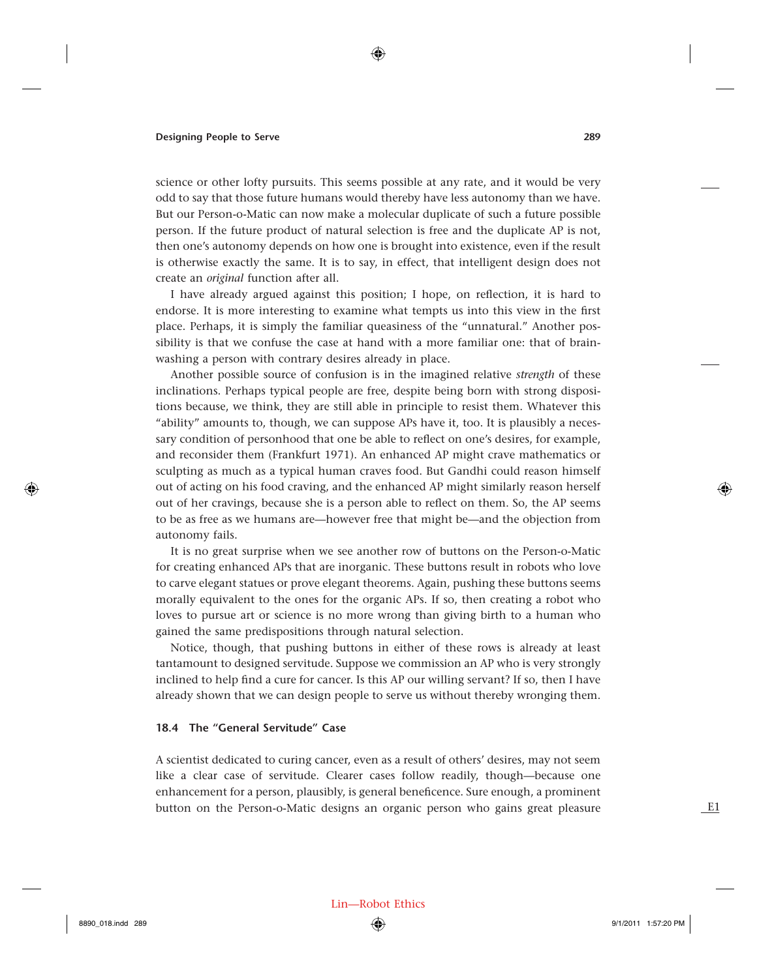science or other lofty pursuits. This seems possible at any rate, and it would be very odd to say that those future humans would thereby have less autonomy than we have. But our Person-o-Matic can now make a molecular duplicate of such a future possible person. If the future product of natural selection is free and the duplicate AP is not, then one's autonomy depends on how one is brought into existence, even if the result is otherwise exactly the same. It is to say, in effect, that intelligent design does not create an *original* function after all.

⊕

I have already argued against this position; I hope, on reflection, it is hard to endorse. It is more interesting to examine what tempts us into this view in the first place. Perhaps, it is simply the familiar queasiness of the "unnatural." Another possibility is that we confuse the case at hand with a more familiar one: that of brainwashing a person with contrary desires already in place.

Another possible source of confusion is in the imagined relative *strength* of these inclinations. Perhaps typical people are free, despite being born with strong dispositions because, we think, they are still able in principle to resist them. Whatever this "ability" amounts to, though, we can suppose APs have it, too. It is plausibly a necessary condition of personhood that one be able to reflect on one's desires, for example, and reconsider them (Frankfurt 1971). An enhanced AP might crave mathematics or sculpting as much as a typical human craves food. But Gandhi could reason himself out of acting on his food craving, and the enhanced AP might similarly reason herself out of her cravings, because she is a person able to reflect on them. So, the AP seems to be as free as we humans are—however free that might be—and the objection from autonomy fails.

It is no great surprise when we see another row of buttons on the Person-o-Matic for creating enhanced APs that are inorganic. These buttons result in robots who love to carve elegant statues or prove elegant theorems. Again, pushing these buttons seems morally equivalent to the ones for the organic APs. If so, then creating a robot who loves to pursue art or science is no more wrong than giving birth to a human who gained the same predispositions through natural selection.

Notice, though, that pushing buttons in either of these rows is already at least tantamount to designed servitude. Suppose we commission an AP who is very strongly inclined to help find a cure for cancer. Is this AP our willing servant? If so, then I have already shown that we can design people to serve us without thereby wronging them.

### **18.4 The "General Servitude" Case**

A scientist dedicated to curing cancer, even as a result of others' desires, may not seem like a clear case of servitude. Clearer cases follow readily, though—because one enhancement for a person, plausibly, is general beneficence. Sure enough, a prominent button on the Person-o-Matic designs an organic person who gains great pleasure

⊕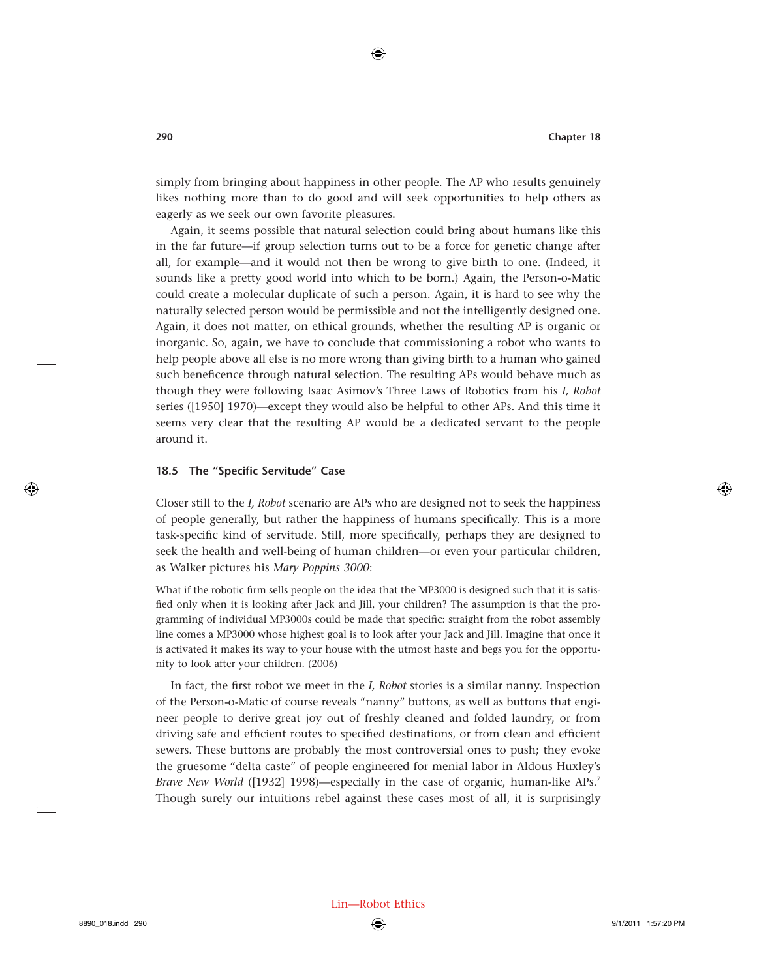simply from bringing about happiness in other people. The AP who results genuinely likes nothing more than to do good and will seek opportunities to help others as eagerly as we seek our own favorite pleasures.

⊕

Again, it seems possible that natural selection could bring about humans like this in the far future—if group selection turns out to be a force for genetic change after all, for example—and it would not then be wrong to give birth to one. (Indeed, it sounds like a pretty good world into which to be born.) Again, the Person-o-Matic could create a molecular duplicate of such a person. Again, it is hard to see why the naturally selected person would be permissible and not the intelligently designed one. Again, it does not matter, on ethical grounds, whether the resulting AP is organic or inorganic. So, again, we have to conclude that commissioning a robot who wants to help people above all else is no more wrong than giving birth to a human who gained such beneficence through natural selection. The resulting APs would behave much as though they were following Isaac Asimov's Three Laws of Robotics from his *I, Robot* series ([1950] 1970)—except they would also be helpful to other APs. And this time it seems very clear that the resulting AP would be a dedicated servant to the people around it.

#### **18.5 The "Specific Servitude" Case**

Closer still to the *I, Robot* scenario are APs who are designed not to seek the happiness of people generally, but rather the happiness of humans specifically. This is a more task-specific kind of servitude. Still, more specifically, perhaps they are designed to seek the health and well-being of human children—or even your particular children, as Walker pictures his *Mary Poppins 3000*:

What if the robotic firm sells people on the idea that the MP3000 is designed such that it is satisfied only when it is looking after Jack and Jill, your children? The assumption is that the programming of individual MP3000s could be made that specific: straight from the robot assembly line comes a MP3000 whose highest goal is to look after your Jack and Jill. Imagine that once it is activated it makes its way to your house with the utmost haste and begs you for the opportunity to look after your children. (2006)

In fact, the first robot we meet in the *I, Robot* stories is a similar nanny. Inspection of the Person-o-Matic of course reveals "nanny" buttons, as well as buttons that engineer people to derive great joy out of freshly cleaned and folded laundry, or from driving safe and efficient routes to specified destinations, or from clean and efficient sewers. These buttons are probably the most controversial ones to push; they evoke the gruesome "delta caste" of people engineered for menial labor in Aldous Huxley's *Brave New World* ([1932] 1998)—especially in the case of organic, human-like APs.<sup>7</sup> Though surely our intuitions rebel against these cases most of all, it is surprisingly

⊕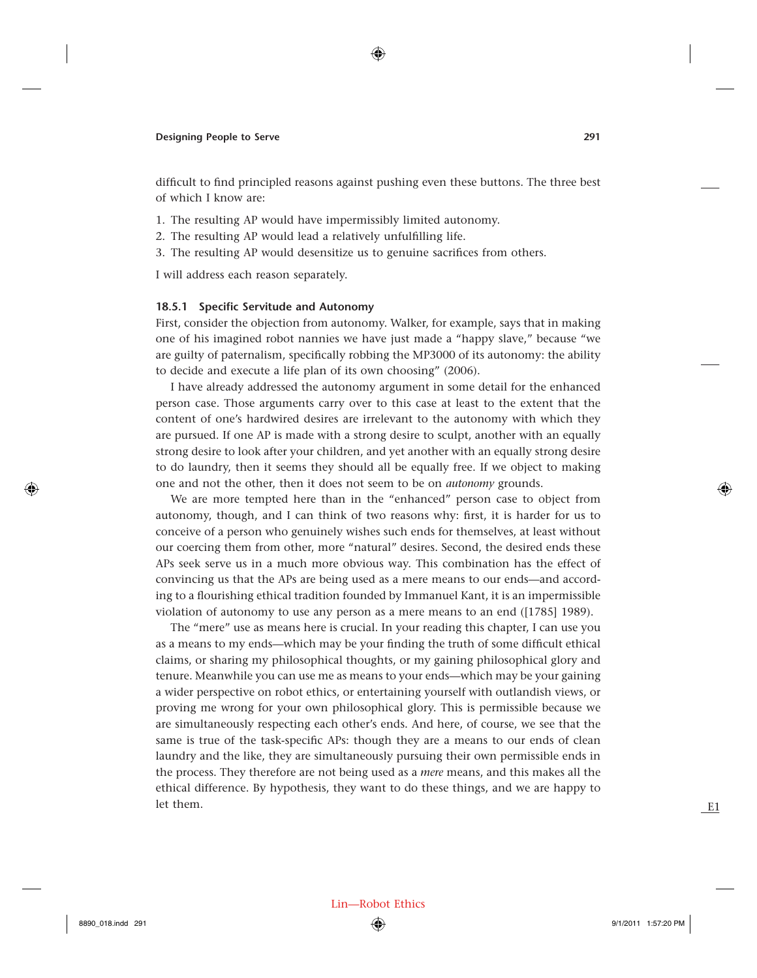difficult to find principled reasons against pushing even these buttons. The three best of which I know are:

⊕

- 1. The resulting AP would have impermissibly limited autonomy.
- 2. The resulting AP would lead a relatively unfulfilling life.
- 3. The resulting AP would desensitize us to genuine sacrifices from others.

I will address each reason separately.

# **18.5.1 Specific Servitude and Autonomy**

First, consider the objection from autonomy. Walker, for example, says that in making one of his imagined robot nannies we have just made a "happy slave," because "we are guilty of paternalism, specifically robbing the MP3000 of its autonomy: the ability to decide and execute a life plan of its own choosing" (2006).

I have already addressed the autonomy argument in some detail for the enhanced person case. Those arguments carry over to this case at least to the extent that the content of one's hardwired desires are irrelevant to the autonomy with which they are pursued. If one AP is made with a strong desire to sculpt, another with an equally strong desire to look after your children, and yet another with an equally strong desire to do laundry, then it seems they should all be equally free. If we object to making one and not the other, then it does not seem to be on *autonomy* grounds.

We are more tempted here than in the "enhanced" person case to object from autonomy, though, and I can think of two reasons why: first, it is harder for us to conceive of a person who genuinely wishes such ends for themselves, at least without our coercing them from other, more "natural" desires. Second, the desired ends these APs seek serve us in a much more obvious way. This combination has the effect of convincing us that the APs are being used as a mere means to our ends—and according to a flourishing ethical tradition founded by Immanuel Kant, it is an impermissible violation of autonomy to use any person as a mere means to an end ([1785] 1989).

The "mere" use as means here is crucial. In your reading this chapter, I can use you as a means to my ends—which may be your finding the truth of some difficult ethical claims, or sharing my philosophical thoughts, or my gaining philosophical glory and tenure. Meanwhile you can use me as means to your ends—which may be your gaining a wider perspective on robot ethics, or entertaining yourself with outlandish views, or proving me wrong for your own philosophical glory. This is permissible because we are simultaneously respecting each other's ends. And here, of course, we see that the same is true of the task-specific APs: though they are a means to our ends of clean laundry and the like, they are simultaneously pursuing their own permissible ends in the process. They therefore are not being used as a *mere* means, and this makes all the ethical difference. By hypothesis, they want to do these things, and we are happy to let them.

↔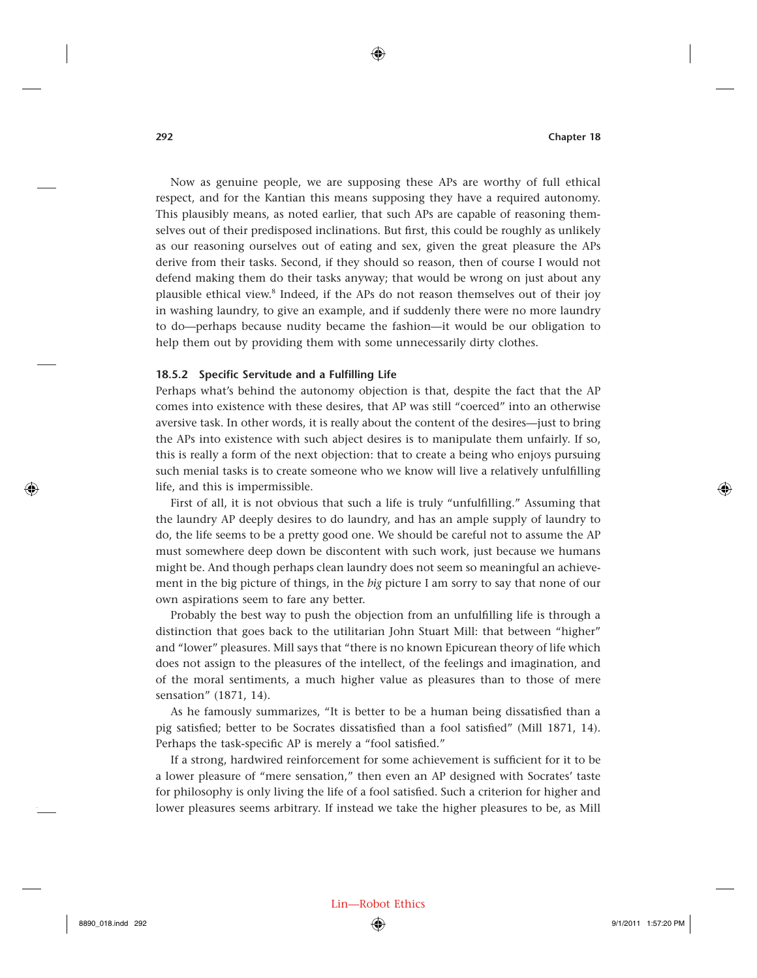Now as genuine people, we are supposing these APs are worthy of full ethical respect, and for the Kantian this means supposing they have a required autonomy. This plausibly means, as noted earlier, that such APs are capable of reasoning themselves out of their predisposed inclinations. But first, this could be roughly as unlikely as our reasoning ourselves out of eating and sex, given the great pleasure the APs derive from their tasks. Second, if they should so reason, then of course I would not defend making them do their tasks anyway; that would be wrong on just about any plausible ethical view.<sup>8</sup> Indeed, if the APs do not reason themselves out of their joy in washing laundry, to give an example, and if suddenly there were no more laundry to do—perhaps because nudity became the fashion—it would be our obligation to help them out by providing them with some unnecessarily dirty clothes.

⊕

## **18.5.2 Specific Servitude and a Fulfilling Life**

Perhaps what's behind the autonomy objection is that, despite the fact that the AP comes into existence with these desires, that AP was still "coerced" into an otherwise aversive task. In other words, it is really about the content of the desires—just to bring the APs into existence with such abject desires is to manipulate them unfairly. If so, this is really a form of the next objection: that to create a being who enjoys pursuing such menial tasks is to create someone who we know will live a relatively unfulfilling life, and this is impermissible.

First of all, it is not obvious that such a life is truly "unfulfilling." Assuming that the laundry AP deeply desires to do laundry, and has an ample supply of laundry to do, the life seems to be a pretty good one. We should be careful not to assume the AP must somewhere deep down be discontent with such work, just because we humans might be. And though perhaps clean laundry does not seem so meaningful an achievement in the big picture of things, in the *big* picture I am sorry to say that none of our own aspirations seem to fare any better.

Probably the best way to push the objection from an unfulfilling life is through a distinction that goes back to the utilitarian John Stuart Mill: that between "higher" and "lower" pleasures. Mill says that "there is no known Epicurean theory of life which does not assign to the pleasures of the intellect, of the feelings and imagination, and of the moral sentiments, a much higher value as pleasures than to those of mere sensation" (1871, 14).

As he famously summarizes, "It is better to be a human being dissatisfied than a pig satisfied; better to be Socrates dissatisfied than a fool satisfied" (Mill 1871, 14). Perhaps the task-specific AP is merely a "fool satisfied."

If a strong, hardwired reinforcement for some achievement is sufficient for it to be a lower pleasure of "mere sensation," then even an AP designed with Socrates' taste for philosophy is only living the life of a fool satisfied. Such a criterion for higher and lower pleasures seems arbitrary. If instead we take the higher pleasures to be, as Mill

⊕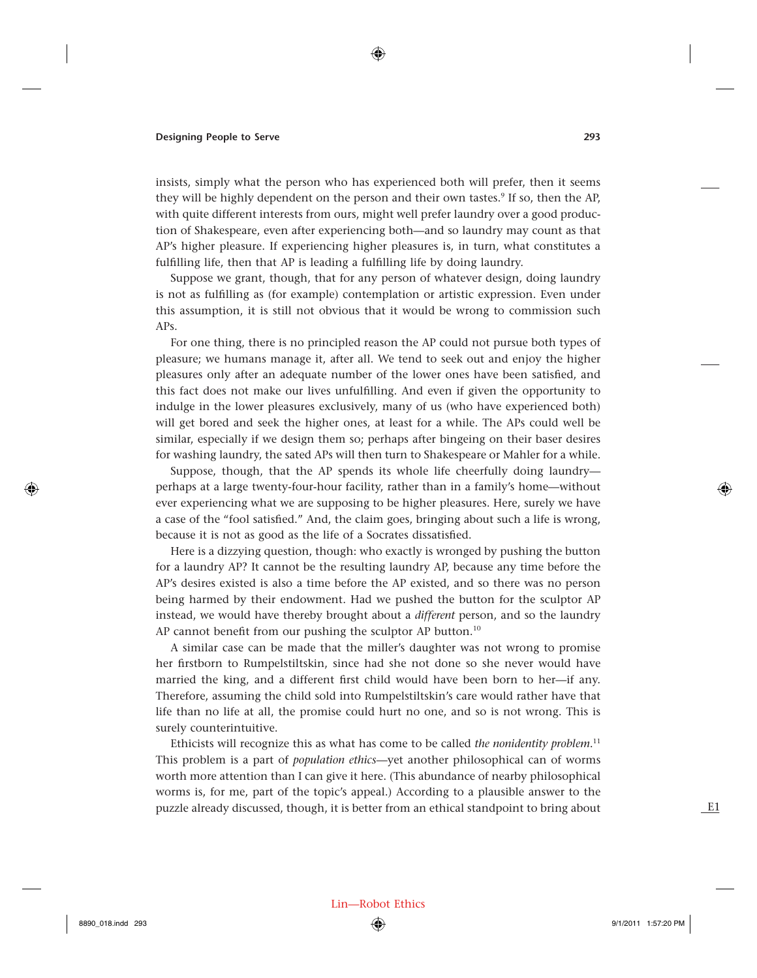insists, simply what the person who has experienced both will prefer, then it seems they will be highly dependent on the person and their own tastes.<sup>9</sup> If so, then the AP, with quite different interests from ours, might well prefer laundry over a good production of Shakespeare, even after experiencing both—and so laundry may count as that AP's higher pleasure. If experiencing higher pleasures is, in turn, what constitutes a fulfilling life, then that AP is leading a fulfilling life by doing laundry.

⊕

Suppose we grant, though, that for any person of whatever design, doing laundry is not as fulfilling as (for example) contemplation or artistic expression. Even under this assumption, it is still not obvious that it would be wrong to commission such APs.

For one thing, there is no principled reason the AP could not pursue both types of pleasure; we humans manage it, after all. We tend to seek out and enjoy the higher pleasures only after an adequate number of the lower ones have been satisfied, and this fact does not make our lives unfulfilling. And even if given the opportunity to indulge in the lower pleasures exclusively, many of us (who have experienced both) will get bored and seek the higher ones, at least for a while. The APs could well be similar, especially if we design them so; perhaps after bingeing on their baser desires for washing laundry, the sated APs will then turn to Shakespeare or Mahler for a while.

Suppose, though, that the AP spends its whole life cheerfully doing laundry perhaps at a large twenty-four-hour facility, rather than in a family's home—without ever experiencing what we are supposing to be higher pleasures. Here, surely we have a case of the "fool satisfied." And, the claim goes, bringing about such a life is wrong, because it is not as good as the life of a Socrates dissatisfied.

Here is a dizzying question, though: who exactly is wronged by pushing the button for a laundry AP? It cannot be the resulting laundry AP, because any time before the AP's desires existed is also a time before the AP existed, and so there was no person being harmed by their endowment. Had we pushed the button for the sculptor AP instead, we would have thereby brought about a *different* person, and so the laundry AP cannot benefit from our pushing the sculptor AP button.<sup>10</sup>

A similar case can be made that the miller's daughter was not wrong to promise her firstborn to Rumpelstiltskin, since had she not done so she never would have married the king, and a different first child would have been born to her—if any. Therefore, assuming the child sold into Rumpelstiltskin's care would rather have that life than no life at all, the promise could hurt no one, and so is not wrong. This is surely counterintuitive.

Ethicists will recognize this as what has come to be called *the nonidentity problem*. 11 This problem is a part of *population ethics*—yet another philosophical can of worms worth more attention than I can give it here. (This abundance of nearby philosophical worms is, for me, part of the topic's appeal.) According to a plausible answer to the puzzle already discussed, though, it is better from an ethical standpoint to bring about

⊕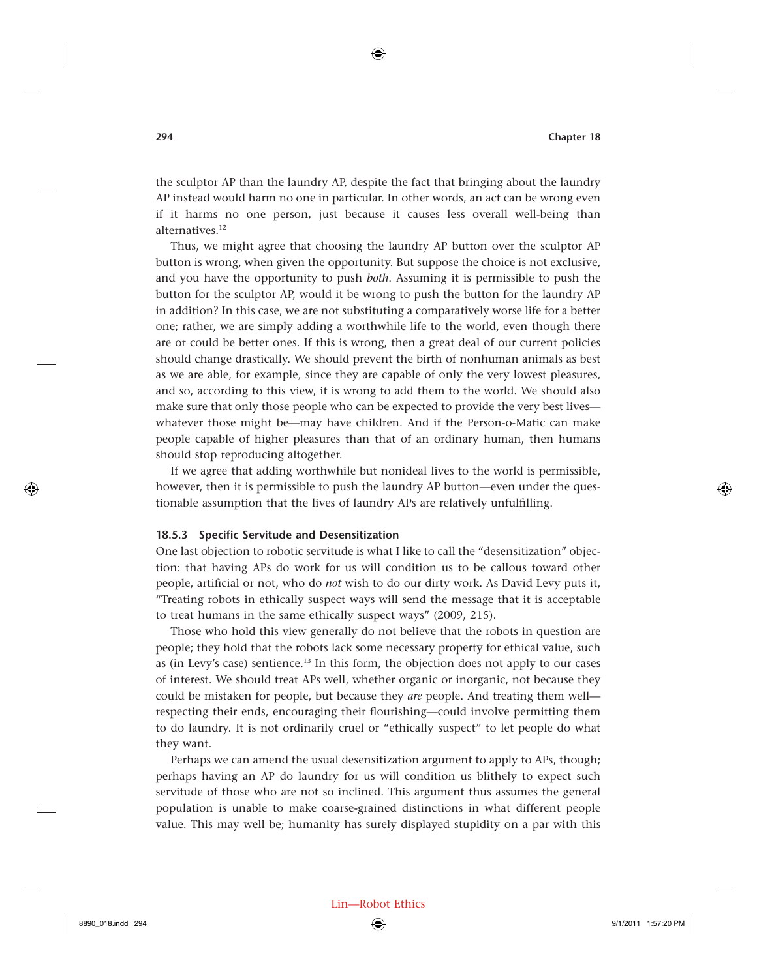the sculptor AP than the laundry AP, despite the fact that bringing about the laundry AP instead would harm no one in particular. In other words, an act can be wrong even if it harms no one person, just because it causes less overall well-being than alternatives.<sup>12</sup>

⊕

Thus, we might agree that choosing the laundry AP button over the sculptor AP button is wrong, when given the opportunity. But suppose the choice is not exclusive, and you have the opportunity to push *both*. Assuming it is permissible to push the button for the sculptor AP, would it be wrong to push the button for the laundry AP in addition? In this case, we are not substituting a comparatively worse life for a better one; rather, we are simply adding a worthwhile life to the world, even though there are or could be better ones. If this is wrong, then a great deal of our current policies should change drastically. We should prevent the birth of nonhuman animals as best as we are able, for example, since they are capable of only the very lowest pleasures, and so, according to this view, it is wrong to add them to the world. We should also make sure that only those people who can be expected to provide the very best lives whatever those might be—may have children. And if the Person-o-Matic can make people capable of higher pleasures than that of an ordinary human, then humans should stop reproducing altogether.

If we agree that adding worthwhile but nonideal lives to the world is permissible, however, then it is permissible to push the laundry AP button—even under the questionable assumption that the lives of laundry APs are relatively unfulfilling.

### **18.5.3 Specific Servitude and Desensitization**

One last objection to robotic servitude is what I like to call the "desensitization" objection: that having APs do work for us will condition us to be callous toward other people, artificial or not, who do *not* wish to do our dirty work. As David Levy puts it, "Treating robots in ethically suspect ways will send the message that it is acceptable to treat humans in the same ethically suspect ways" (2009, 215).

Those who hold this view generally do not believe that the robots in question are people; they hold that the robots lack some necessary property for ethical value, such as (in Levy's case) sentience.<sup>13</sup> In this form, the objection does not apply to our cases of interest. We should treat APs well, whether organic or inorganic, not because they could be mistaken for people, but because they *are* people. And treating them well respecting their ends, encouraging their flourishing—could involve permitting them to do laundry. It is not ordinarily cruel or "ethically suspect" to let people do what they want.

Perhaps we can amend the usual desensitization argument to apply to APs, though; perhaps having an AP do laundry for us will condition us blithely to expect such servitude of those who are not so inclined. This argument thus assumes the general population is unable to make coarse-grained distinctions in what different people value. This may well be; humanity has surely displayed stupidity on a par with this

⊕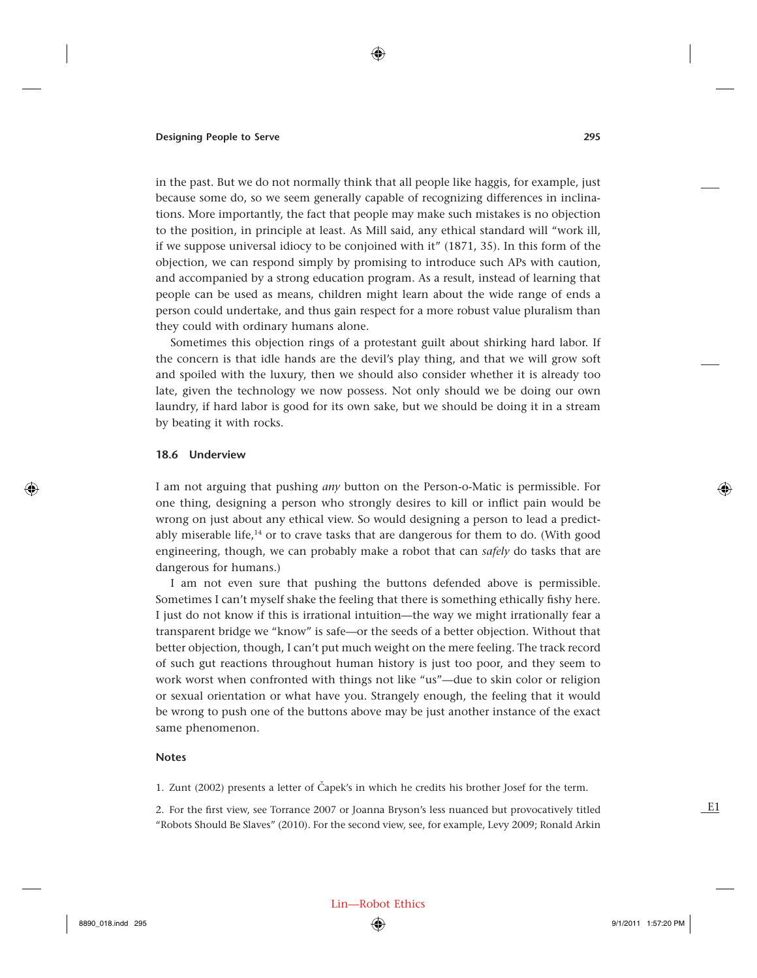in the past. But we do not normally think that all people like haggis, for example, just because some do, so we seem generally capable of recognizing differences in inclinations. More importantly, the fact that people may make such mistakes is no objection to the position, in principle at least. As Mill said, any ethical standard will "work ill, if we suppose universal idiocy to be conjoined with it" (1871, 35). In this form of the objection, we can respond simply by promising to introduce such APs with caution, and accompanied by a strong education program. As a result, instead of learning that people can be used as means, children might learn about the wide range of ends a person could undertake, and thus gain respect for a more robust value pluralism than they could with ordinary humans alone.

⊕

Sometimes this objection rings of a protestant guilt about shirking hard labor. If the concern is that idle hands are the devil's play thing, and that we will grow soft and spoiled with the luxury, then we should also consider whether it is already too late, given the technology we now possess. Not only should we be doing our own laundry, if hard labor is good for its own sake, but we should be doing it in a stream by beating it with rocks.

## **18.6 Underview**

I am not arguing that pushing *any* button on the Person-o-Matic is permissible. For one thing, designing a person who strongly desires to kill or inflict pain would be wrong on just about any ethical view. So would designing a person to lead a predictably miserable life, $14$  or to crave tasks that are dangerous for them to do. (With good engineering, though, we can probably make a robot that can *safely* do tasks that are dangerous for humans.)

I am not even sure that pushing the buttons defended above is permissible. Sometimes I can't myself shake the feeling that there is something ethically fishy here. I just do not know if this is irrational intuition—the way we might irrationally fear a transparent bridge we "know" is safe—or the seeds of a better objection. Without that better objection, though, I can't put much weight on the mere feeling. The track record of such gut reactions throughout human history is just too poor, and they seem to work worst when confronted with things not like "us"—due to skin color or religion or sexual orientation or what have you. Strangely enough, the feeling that it would be wrong to push one of the buttons above may be just another instance of the exact same phenomenon.

## **Notes**

1. Zunt (2002) presents a letter of Čapek's in which he credits his brother Josef for the term.

2. For the first view, see Torrance 2007 or Joanna Bryson's less nuanced but provocatively titled "Robots Should Be Slaves" (2010). For the second view, see, for example, Levy 2009; Ronald Arkin

⊕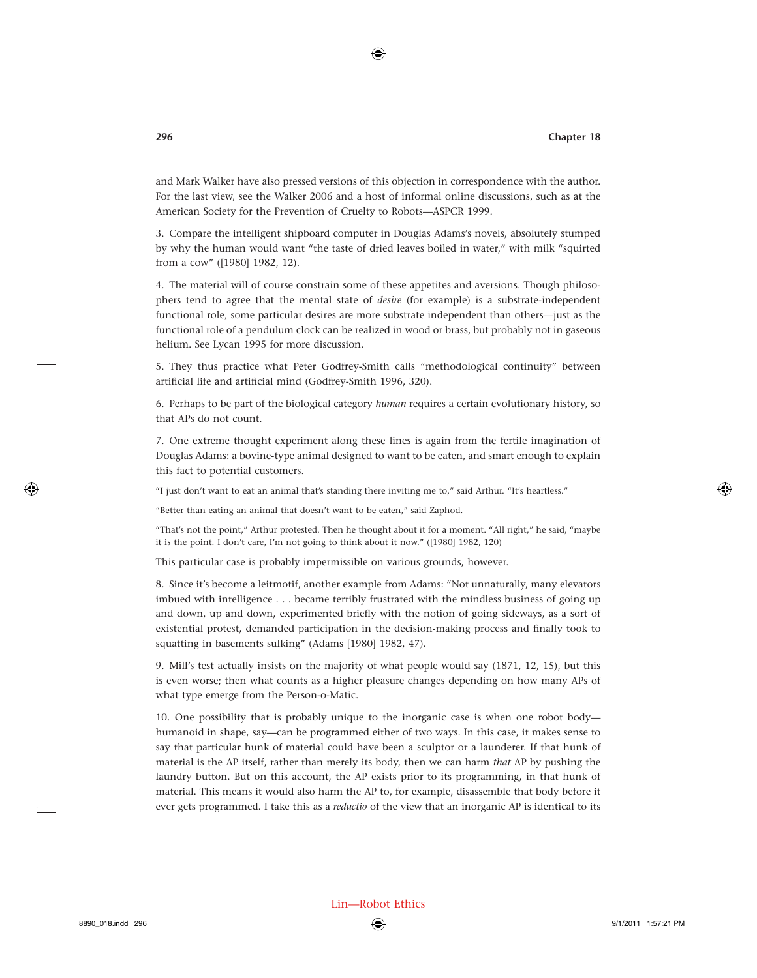and Mark Walker have also pressed versions of this objection in correspondence with the author. For the last view, see the Walker 2006 and a host of informal online discussions, such as at the American Society for the Prevention of Cruelty to Robots—ASPCR 1999.

⊕

3. Compare the intelligent shipboard computer in Douglas Adams's novels, absolutely stumped by why the human would want "the taste of dried leaves boiled in water," with milk "squirted from a cow" ([1980] 1982, 12).

4. The material will of course constrain some of these appetites and aversions. Though philosophers tend to agree that the mental state of *desire* (for example) is a substrate-independent functional role, some particular desires are more substrate independent than others—just as the functional role of a pendulum clock can be realized in wood or brass, but probably not in gaseous helium. See Lycan 1995 for more discussion.

5. They thus practice what Peter Godfrey-Smith calls "methodological continuity" between artificial life and artificial mind (Godfrey-Smith 1996, 320).

6. Perhaps to be part of the biological category *human* requires a certain evolutionary history, so that APs do not count.

7. One extreme thought experiment along these lines is again from the fertile imagination of Douglas Adams: a bovine-type animal designed to want to be eaten, and smart enough to explain this fact to potential customers.

"I just don't want to eat an animal that's standing there inviting me to," said Arthur. "It's heartless."

"Better than eating an animal that doesn't want to be eaten," said Zaphod.

"That's not the point," Arthur protested. Then he thought about it for a moment. "All right," he said, "maybe it is the point. I don't care, I'm not going to think about it now." ([1980] 1982, 120)

This particular case is probably impermissible on various grounds, however.

8. Since it's become a leitmotif, another example from Adams: "Not unnaturally, many elevators imbued with intelligence . . . became terribly frustrated with the mindless business of going up and down, up and down, experimented briefly with the notion of going sideways, as a sort of existential protest, demanded participation in the decision-making process and finally took to squatting in basements sulking" (Adams [1980] 1982, 47).

9. Mill's test actually insists on the majority of what people would say (1871, 12, 15), but this is even worse; then what counts as a higher pleasure changes depending on how many APs of what type emerge from the Person-o-Matic.

10. One possibility that is probably unique to the inorganic case is when one robot body humanoid in shape, say—can be programmed either of two ways. In this case, it makes sense to say that particular hunk of material could have been a sculptor or a launderer. If that hunk of material is the AP itself, rather than merely its body, then we can harm *that* AP by pushing the laundry button. But on this account, the AP exists prior to its programming, in that hunk of material. This means it would also harm the AP to, for example, disassemble that body before it ever gets programmed. I take this as a *reductio* of the view that an inorganic AP is identical to its

⊕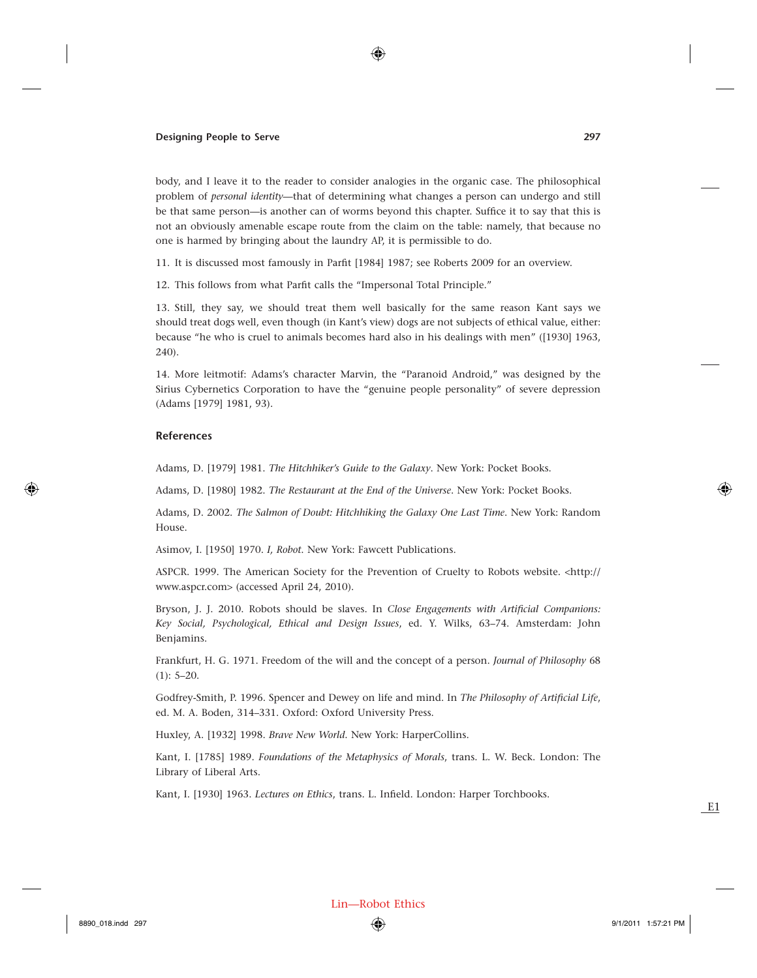body, and I leave it to the reader to consider analogies in the organic case. The philosophical problem of *personal identity*—that of determining what changes a person can undergo and still be that same person—is another can of worms beyond this chapter. Suffice it to say that this is not an obviously amenable escape route from the claim on the table: namely, that because no one is harmed by bringing about the laundry AP, it is permissible to do.

⊕

11. It is discussed most famously in Parfit [1984] 1987; see Roberts 2009 for an overview.

12. This follows from what Parfit calls the "Impersonal Total Principle."

13. Still, they say, we should treat them well basically for the same reason Kant says we should treat dogs well, even though (in Kant's view) dogs are not subjects of ethical value, either: because "he who is cruel to animals becomes hard also in his dealings with men" ([1930] 1963, 240).

14. More leitmotif: Adams's character Marvin, the "Paranoid Android," was designed by the Sirius Cybernetics Corporation to have the "genuine people personality" of severe depression (Adams [1979] 1981, 93).

#### **References**

⊕

Adams, D. [1979] 1981. *The Hitchhiker's Guide to the Galaxy*. New York: Pocket Books.

Adams, D. [1980] 1982. *The Restaurant at the End of the Universe*. New York: Pocket Books.

Adams, D. 2002. *The Salmon of Doubt: Hitchhiking the Galaxy One Last Time*. New York: Random House.

Asimov, I. [1950] 1970. *I, Robot*. New York: Fawcett Publications.

ASPCR. 1999. The American Society for the Prevention of Cruelty to Robots website. <http:// www.aspcr.com> (accessed April 24, 2010).

Bryson, J. J. 2010. Robots should be slaves. In *Close Engagements with Artificial Companions: Key Social, Psychological, Ethical and Design Issues*, ed. Y. Wilks, 63–74. Amsterdam: John Benjamins.

Frankfurt, H. G. 1971. Freedom of the will and the concept of a person. *Journal of Philosophy* 68  $(1): 5-20.$ 

Godfrey-Smith, P. 1996. Spencer and Dewey on life and mind. In *The Philosophy of Artificial Life*, ed. M. A. Boden, 314–331. Oxford: Oxford University Press.

Huxley, A. [1932] 1998. *Brave New World*. New York: HarperCollins.

Kant, I. [1785] 1989. *Foundations of the Metaphysics of Morals*, trans. L. W. Beck. London: The Library of Liberal Arts.

Kant, I. [1930] 1963. *Lectures on Ethics*, trans. L. Infield. London: Harper Torchbooks.